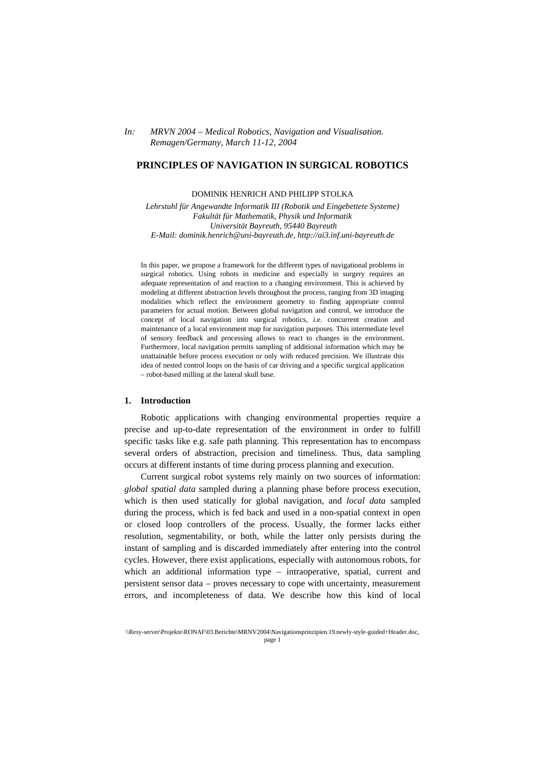## *In: MRVN 2004 – Medical Robotics, Navigation and Visualisation. Remagen/Germany, March 11-12, 2004*

# **PRINCIPLES OF NAVIGATION IN SURGICAL ROBOTICS**

#### DOMINIK HENRICH AND PHILIPP STOLKA

*Lehrstuhl für Angewandte Informatik III (Robotik und Eingebettete Systeme) Fakultät für Mathematik, Physik und Informatik Universität Bayreuth, 95440 Bayreuth E-Mail: dominik.henrich@uni-bayreuth.de, http://ai3.inf.uni-bayreuth.de*

In this paper, we propose a framework for the different types of navigational problems in surgical robotics. Using robots in medicine and especially in surgery requires an adequate representation of and reaction to a changing environment. This is achieved by modeling at different abstraction levels throughout the process, ranging from 3D imaging modalities which reflect the environment geometry to finding appropriate control parameters for actual motion. Between global navigation and control, we introduce the concept of local navigation into surgical robotics, i.e. concurrent creation and maintenance of a local environment map for navigation purposes. This intermediate level of sensory feedback and processing allows to react to changes in the environment. Furthermore, local navigation permits sampling of additional information which may be unattainable before process execution or only with reduced precision. We illustrate this idea of nested control loops on the basis of car driving and a specific surgical application – robot-based milling at the lateral skull base.

#### **1. Introduction**

Robotic applications with changing environmental properties require a precise and up-to-date representation of the environment in order to fulfill specific tasks like e.g. safe path planning. This representation has to encompass several orders of abstraction, precision and timeliness. Thus, data sampling occurs at different instants of time during process planning and execution.

Current surgical robot systems rely mainly on two sources of information: *global spatial data* sampled during a planning phase before process execution, which is then used statically for global navigation, and *local data* sampled during the process, which is fed back and used in a non-spatial context in open or closed loop controllers of the process. Usually, the former lacks either resolution, segmentability, or both, while the latter only persists during the instant of sampling and is discarded immediately after entering into the control cycles. However, there exist applications, especially with autonomous robots, for which an additional information type – intraoperative, spatial, current and persistent sensor data – proves necessary to cope with uncertainty, measurement errors, and incompleteness of data. We describe how this kind of local

<sup>\\</sup>Resy-server\Projekte\RONAF\03.Berichte\MRNV2004\Navigationsprinzipien.19.newly-style-guided+Header.doc, page 1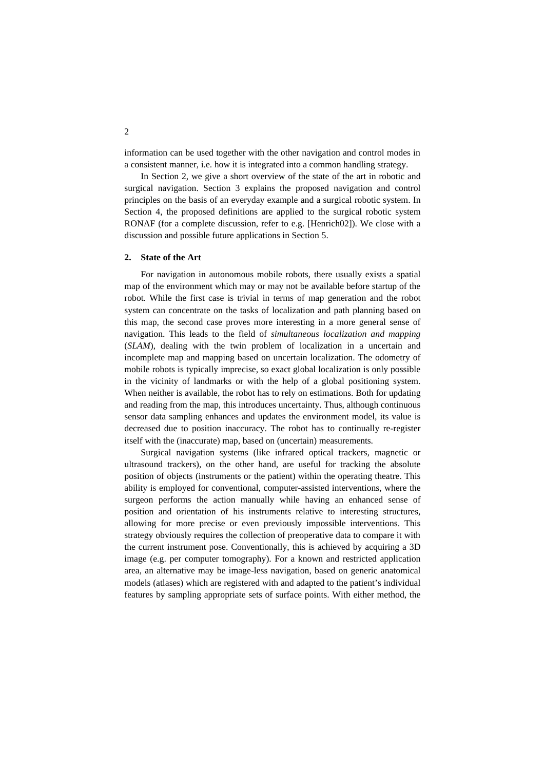information can be used together with the other navigation and control modes in a consistent manner, i.e. how it is integrated into a common handling strategy.

In Section 2, we give a short overview of the state of the art in robotic and surgical navigation. Section 3 explains the proposed navigation and control principles on the basis of an everyday example and a surgical robotic system. In Section 4, the proposed definitions are applied to the surgical robotic system RONAF (for a complete discussion, refer to e.g. [Henrich02]). We close with a discussion and possible future applications in Section 5.

## **2. State of the Art**

For navigation in autonomous mobile robots, there usually exists a spatial map of the environment which may or may not be available before startup of the robot. While the first case is trivial in terms of map generation and the robot system can concentrate on the tasks of localization and path planning based on this map, the second case proves more interesting in a more general sense of navigation. This leads to the field of *simultaneous localization and mapping* (*SLAM*), dealing with the twin problem of localization in a uncertain and incomplete map and mapping based on uncertain localization. The odometry of mobile robots is typically imprecise, so exact global localization is only possible in the vicinity of landmarks or with the help of a global positioning system. When neither is available, the robot has to rely on estimations. Both for updating and reading from the map, this introduces uncertainty. Thus, although continuous sensor data sampling enhances and updates the environment model, its value is decreased due to position inaccuracy. The robot has to continually re-register itself with the (inaccurate) map, based on (uncertain) measurements.

Surgical navigation systems (like infrared optical trackers, magnetic or ultrasound trackers), on the other hand, are useful for tracking the absolute position of objects (instruments or the patient) within the operating theatre. This ability is employed for conventional, computer-assisted interventions, where the surgeon performs the action manually while having an enhanced sense of position and orientation of his instruments relative to interesting structures, allowing for more precise or even previously impossible interventions. This strategy obviously requires the collection of preoperative data to compare it with the current instrument pose. Conventionally, this is achieved by acquiring a 3D image (e.g. per computer tomography). For a known and restricted application area, an alternative may be image-less navigation, based on generic anatomical models (atlases) which are registered with and adapted to the patient's individual features by sampling appropriate sets of surface points. With either method, the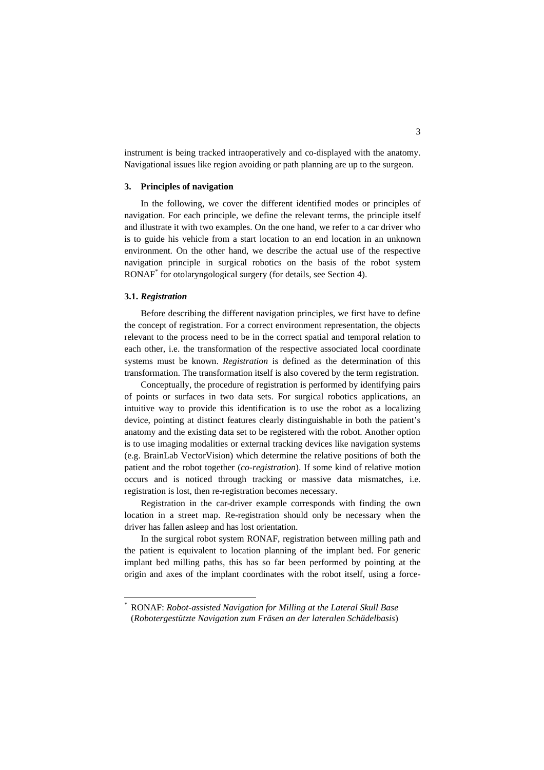instrument is being tracked intraoperatively and co-displayed with the anatomy. Navigational issues like region avoiding or path planning are up to the surgeon.

## **3. Principles of navigation**

In the following, we cover the different identified modes or principles of navigation. For each principle, we define the relevant terms, the principle itself and illustrate it with two examples. On the one hand, we refer to a car driver who is to guide his vehicle from a start location to an end location in an unknown environment. On the other hand, we describe the actual use of the respective navigation principle in surgical robotics on the basis of the robot system RONAF\* for otolaryngological surgery (for details, see Section 4).

#### **3.1.** *Registration*

l

Before describing the different navigation principles, we first have to define the concept of registration. For a correct environment representation, the objects relevant to the process need to be in the correct spatial and temporal relation to each other, i.e. the transformation of the respective associated local coordinate systems must be known. *Registration* is defined as the determination of this transformation. The transformation itself is also covered by the term registration.

Conceptually, the procedure of registration is performed by identifying pairs of points or surfaces in two data sets. For surgical robotics applications, an intuitive way to provide this identification is to use the robot as a localizing device, pointing at distinct features clearly distinguishable in both the patient's anatomy and the existing data set to be registered with the robot. Another option is to use imaging modalities or external tracking devices like navigation systems (e.g. BrainLab VectorVision) which determine the relative positions of both the patient and the robot together (*co-registration*). If some kind of relative motion occurs and is noticed through tracking or massive data mismatches, i.e. registration is lost, then re-registration becomes necessary.

Registration in the car-driver example corresponds with finding the own location in a street map. Re-registration should only be necessary when the driver has fallen asleep and has lost orientation.

In the surgical robot system RONAF, registration between milling path and the patient is equivalent to location planning of the implant bed. For generic implant bed milling paths, this has so far been performed by pointing at the origin and axes of the implant coordinates with the robot itself, using a force-

<sup>\*</sup> RONAF: *Robot-assisted Navigation for Milling at the Lateral Skull Base*  (*Robotergestützte Navigation zum Fräsen an der lateralen Schädelbasis*)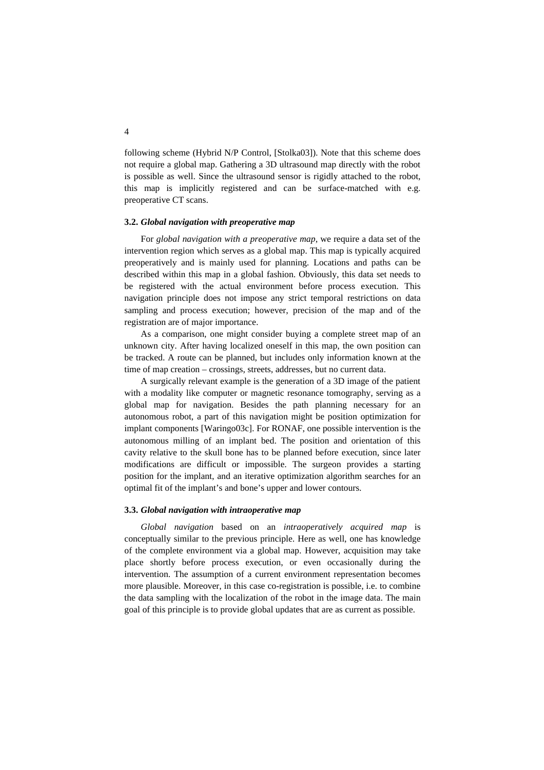following scheme (Hybrid N/P Control, [Stolka03]). Note that this scheme does not require a global map. Gathering a 3D ultrasound map directly with the robot is possible as well. Since the ultrasound sensor is rigidly attached to the robot, this map is implicitly registered and can be surface-matched with e.g. preoperative CT scans.

### **3.2.** *Global navigation with preoperative map*

For *global navigation with a preoperative map*, we require a data set of the intervention region which serves as a global map. This map is typically acquired preoperatively and is mainly used for planning. Locations and paths can be described within this map in a global fashion. Obviously, this data set needs to be registered with the actual environment before process execution. This navigation principle does not impose any strict temporal restrictions on data sampling and process execution; however, precision of the map and of the registration are of major importance.

As a comparison, one might consider buying a complete street map of an unknown city. After having localized oneself in this map, the own position can be tracked. A route can be planned, but includes only information known at the time of map creation – crossings, streets, addresses, but no current data.

A surgically relevant example is the generation of a 3D image of the patient with a modality like computer or magnetic resonance tomography, serving as a global map for navigation. Besides the path planning necessary for an autonomous robot, a part of this navigation might be position optimization for implant components [Waringo03c]. For RONAF, one possible intervention is the autonomous milling of an implant bed. The position and orientation of this cavity relative to the skull bone has to be planned before execution, since later modifications are difficult or impossible. The surgeon provides a starting position for the implant, and an iterative optimization algorithm searches for an optimal fit of the implant's and bone's upper and lower contours.

#### **3.3.** *Global navigation with intraoperative map*

*Global navigation* based on an *intraoperatively acquired map* is conceptually similar to the previous principle. Here as well, one has knowledge of the complete environment via a global map. However, acquisition may take place shortly before process execution, or even occasionally during the intervention. The assumption of a current environment representation becomes more plausible. Moreover, in this case co-registration is possible, i.e. to combine the data sampling with the localization of the robot in the image data. The main goal of this principle is to provide global updates that are as current as possible.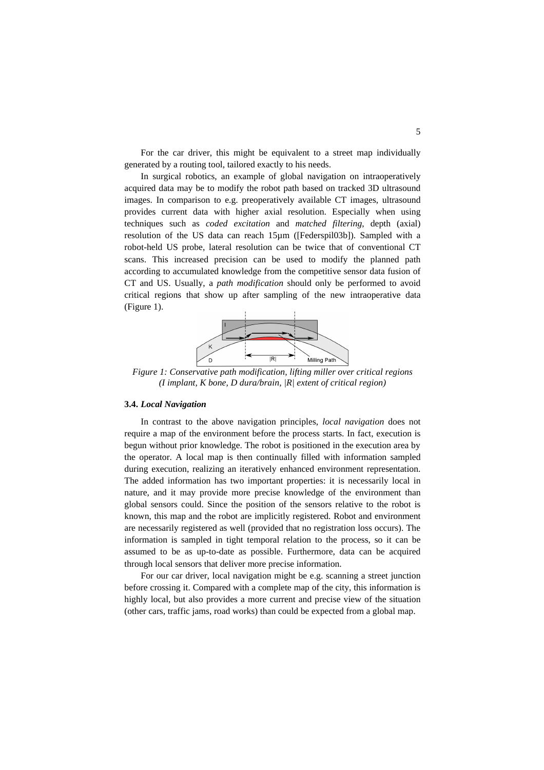For the car driver, this might be equivalent to a street map individually generated by a routing tool, tailored exactly to his needs.

In surgical robotics, an example of global navigation on intraoperatively acquired data may be to modify the robot path based on tracked 3D ultrasound images. In comparison to e.g. preoperatively available CT images, ultrasound provides current data with higher axial resolution. Especially when using techniques such as *coded excitation* and *matched filtering*, depth (axial) resolution of the US data can reach 15µm ([Federspil03b]). Sampled with a robot-held US probe, lateral resolution can be twice that of conventional CT scans. This increased precision can be used to modify the planned path according to accumulated knowledge from the competitive sensor data fusion of CT and US. Usually, a *path modification* should only be performed to avoid critical regions that show up after sampling of the new intraoperative data (Figure 1).



*Figure 1: Conservative path modification, lifting miller over critical regions (I implant, K bone, D dura/brain, |R| extent of critical region)*

#### **3.4.** *Local Navigation*

In contrast to the above navigation principles, *local navigation* does not require a map of the environment before the process starts. In fact, execution is begun without prior knowledge. The robot is positioned in the execution area by the operator. A local map is then continually filled with information sampled during execution, realizing an iteratively enhanced environment representation. The added information has two important properties: it is necessarily local in nature, and it may provide more precise knowledge of the environment than global sensors could. Since the position of the sensors relative to the robot is known, this map and the robot are implicitly registered. Robot and environment are necessarily registered as well (provided that no registration loss occurs). The information is sampled in tight temporal relation to the process, so it can be assumed to be as up-to-date as possible. Furthermore, data can be acquired through local sensors that deliver more precise information.

For our car driver, local navigation might be e.g. scanning a street junction before crossing it. Compared with a complete map of the city, this information is highly local, but also provides a more current and precise view of the situation (other cars, traffic jams, road works) than could be expected from a global map.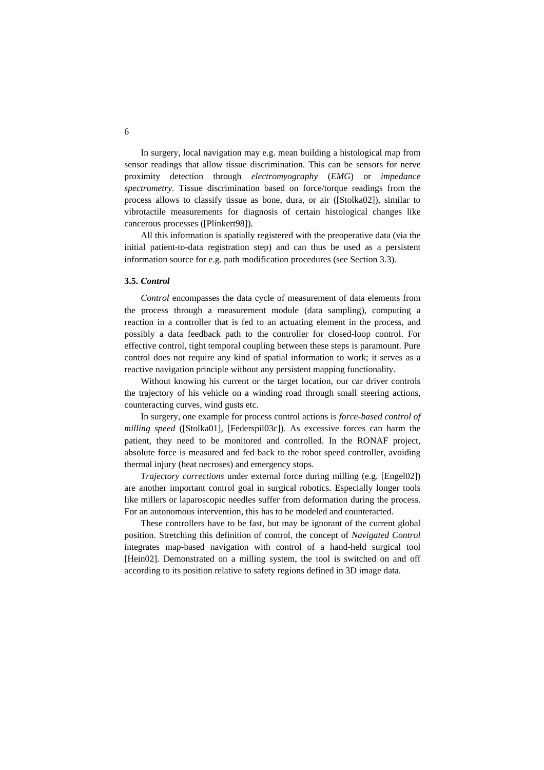In surgery, local navigation may e.g. mean building a histological map from sensor readings that allow tissue discrimination. This can be sensors for nerve proximity detection through *electromyography* (*EMG*) or *impedance spectrometry*. Tissue discrimination based on force/torque readings from the process allows to classify tissue as bone, dura, or air ([Stolka02]), similar to vibrotactile measurements for diagnosis of certain histological changes like cancerous processes ([Plinkert98]).

All this information is spatially registered with the preoperative data (via the initial patient-to-data registration step) and can thus be used as a persistent information source for e.g. path modification procedures (see Section 3.3).

#### **3.5.** *Control*

*Control* encompasses the data cycle of measurement of data elements from the process through a measurement module (data sampling), computing a reaction in a controller that is fed to an actuating element in the process, and possibly a data feedback path to the controller for closed-loop control. For effective control, tight temporal coupling between these steps is paramount. Pure control does not require any kind of spatial information to work; it serves as a reactive navigation principle without any persistent mapping functionality.

Without knowing his current or the target location, our car driver controls the trajectory of his vehicle on a winding road through small steering actions, counteracting curves, wind gusts etc.

In surgery, one example for process control actions is *force-based control of milling speed* ([Stolka01], [Federspil03c]). As excessive forces can harm the patient, they need to be monitored and controlled. In the RONAF project, absolute force is measured and fed back to the robot speed controller, avoiding thermal injury (heat necroses) and emergency stops.

*Trajectory corrections* under external force during milling (e.g. [Engel02]) are another important control goal in surgical robotics. Especially longer tools like millers or laparoscopic needles suffer from deformation during the process. For an autonomous intervention, this has to be modeled and counteracted.

These controllers have to be fast, but may be ignorant of the current global position. Stretching this definition of control, the concept of *Navigated Control* integrates map-based navigation with control of a hand-held surgical tool [Hein02]. Demonstrated on a milling system, the tool is switched on and off according to its position relative to safety regions defined in 3D image data.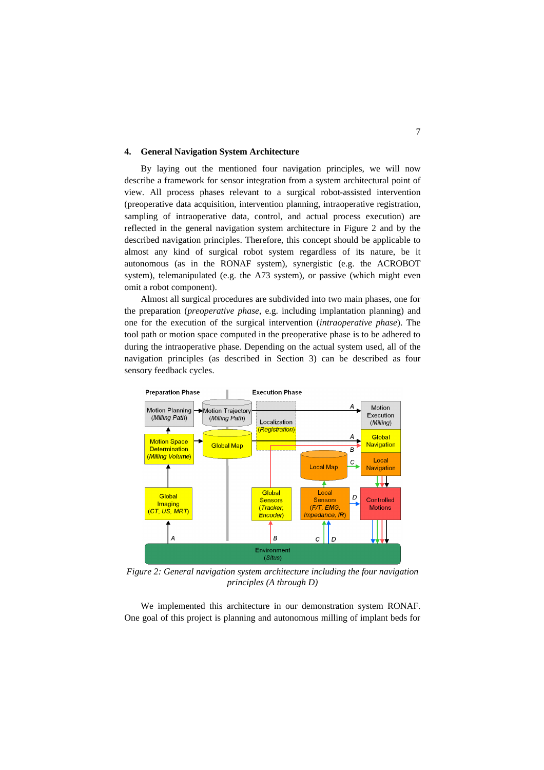#### **4. General Navigation System Architecture**

By laying out the mentioned four navigation principles, we will now describe a framework for sensor integration from a system architectural point of view. All process phases relevant to a surgical robot-assisted intervention (preoperative data acquisition, intervention planning, intraoperative registration, sampling of intraoperative data, control, and actual process execution) are reflected in the general navigation system architecture in Figure 2 and by the described navigation principles. Therefore, this concept should be applicable to almost any kind of surgical robot system regardless of its nature, be it autonomous (as in the RONAF system), synergistic (e.g. the ACROBOT system), telemanipulated (e.g. the A73 system), or passive (which might even omit a robot component).

Almost all surgical procedures are subdivided into two main phases, one for the preparation (*preoperative phase*, e.g. including implantation planning) and one for the execution of the surgical intervention (*intraoperative phase*). The tool path or motion space computed in the preoperative phase is to be adhered to during the intraoperative phase. Depending on the actual system used, all of the navigation principles (as described in Section 3) can be described as four sensory feedback cycles.



*Figure 2: General navigation system architecture including the four navigation principles (A through D)*

We implemented this architecture in our demonstration system RONAF. One goal of this project is planning and autonomous milling of implant beds for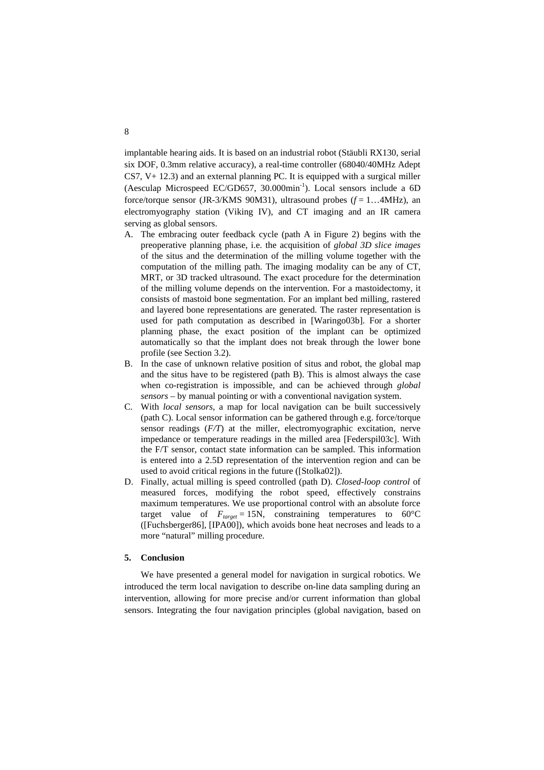implantable hearing aids. It is based on an industrial robot (Stäubli RX130, serial six DOF, 0.3mm relative accuracy), a real-time controller (68040/40MHz Adept  $CS7, V+ 12.3$  and an external planning PC. It is equipped with a surgical miller (Aesculap Microspeed EC/GD657, 30.000min<sup>-1</sup>). Local sensors include a 6D force/torque sensor (JR-3/KMS 90M31), ultrasound probes (*f* = 1…4MHz), an electromyography station (Viking IV), and CT imaging and an IR camera serving as global sensors.

- A. The embracing outer feedback cycle (path A in Figure 2) begins with the preoperative planning phase, i.e. the acquisition of *global 3D slice images* of the situs and the determination of the milling volume together with the computation of the milling path. The imaging modality can be any of CT, MRT, or 3D tracked ultrasound. The exact procedure for the determination of the milling volume depends on the intervention. For a mastoidectomy, it consists of mastoid bone segmentation. For an implant bed milling, rastered and layered bone representations are generated. The raster representation is used for path computation as described in [Waringo03b]. For a shorter planning phase, the exact position of the implant can be optimized automatically so that the implant does not break through the lower bone profile (see Section 3.2).
- B. In the case of unknown relative position of situs and robot, the global map and the situs have to be registered (path B). This is almost always the case when co-registration is impossible, and can be achieved through *global sensors* – by manual pointing or with a conventional navigation system.
- C. With *local sensors*, a map for local navigation can be built successively (path C). Local sensor information can be gathered through e.g. force/torque sensor readings (*F/T*) at the miller, electromyographic excitation, nerve impedance or temperature readings in the milled area [Federspil03c]. With the F/T sensor, contact state information can be sampled. This information is entered into a 2.5D representation of the intervention region and can be used to avoid critical regions in the future ([Stolka02]).
- D. Finally, actual milling is speed controlled (path D). *Closed-loop control* of measured forces, modifying the robot speed, effectively constrains maximum temperatures. We use proportional control with an absolute force target value of  $F_{target} = 15N$ , constraining temperatures to  $60^{\circ}C$ ([Fuchsberger86], [IPA00]), which avoids bone heat necroses and leads to a more "natural" milling procedure.

## **5. Conclusion**

We have presented a general model for navigation in surgical robotics. We introduced the term local navigation to describe on-line data sampling during an intervention, allowing for more precise and/or current information than global sensors. Integrating the four navigation principles (global navigation, based on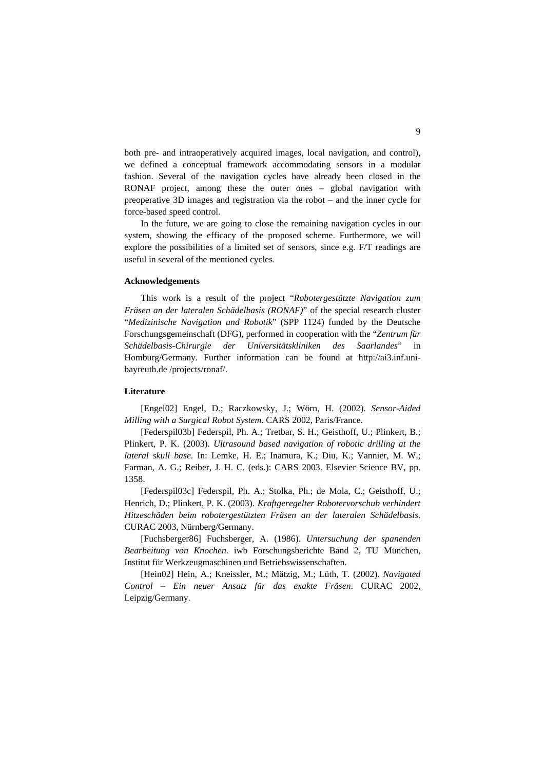both pre- and intraoperatively acquired images, local navigation, and control), we defined a conceptual framework accommodating sensors in a modular fashion. Several of the navigation cycles have already been closed in the RONAF project, among these the outer ones – global navigation with preoperative 3D images and registration via the robot – and the inner cycle for force-based speed control.

In the future, we are going to close the remaining navigation cycles in our system, showing the efficacy of the proposed scheme. Furthermore, we will explore the possibilities of a limited set of sensors, since e.g. F/T readings are useful in several of the mentioned cycles.

## **Acknowledgements**

This work is a result of the project "*Robotergestützte Navigation zum Fräsen an der lateralen Schädelbasis (RONAF)*" of the special research cluster "*Medizinische Navigation und Robotik*" (SPP 1124) funded by the Deutsche Forschungsgemeinschaft (DFG), performed in cooperation with the "*Zentrum für Schädelbasis-Chirurgie der Universitätskliniken des Saarlandes*" in Homburg/Germany. Further information can be found at http://ai3.inf.unibayreuth.de /projects/ronaf/.

### **Literature**

[Engel02] Engel, D.; Raczkowsky, J.; Wörn, H. (2002). *Sensor-Aided Milling with a Surgical Robot System*. CARS 2002, Paris/France.

[Federspil03b] Federspil, Ph. A.; Tretbar, S. H.; Geisthoff, U.; Plinkert, B.; Plinkert, P. K. (2003). *Ultrasound based navigation of robotic drilling at the lateral skull base*. In: Lemke, H. E.; Inamura, K.; Diu, K.; Vannier, M. W.; Farman, A. G.; Reiber, J. H. C. (eds.): CARS 2003. Elsevier Science BV, pp. 1358.

[Federspil03c] Federspil, Ph. A.; Stolka, Ph.; de Mola, C.; Geisthoff, U.; Henrich, D.; Plinkert, P. K. (2003). *Kraftgeregelter Robotervorschub verhindert Hitzeschäden beim robotergestützten Fräsen an der lateralen Schädelbasis*. CURAC 2003, Nürnberg/Germany.

[Fuchsberger86] Fuchsberger, A. (1986). *Untersuchung der spanenden Bearbeitung von Knochen.* iwb Forschungsberichte Band 2, TU München, Institut für Werkzeugmaschinen und Betriebswissenschaften.

[Hein02] Hein, A.; Kneissler, M.; Mätzig, M.; Lüth, T. (2002). *Navigated Control – Ein neuer Ansatz für das exakte Fräsen*. CURAC 2002, Leipzig/Germany.